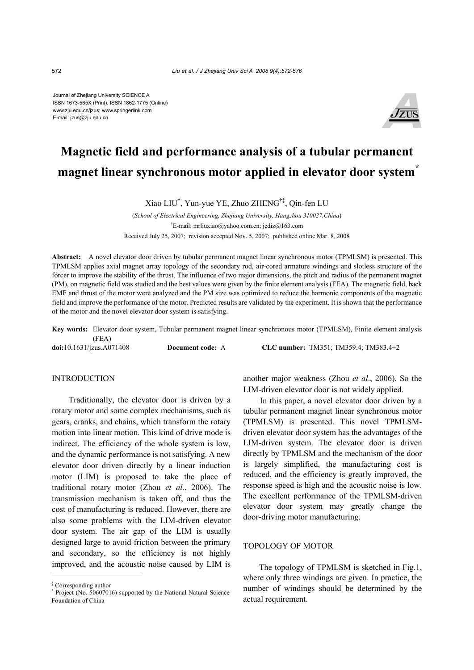Journal of Zhejiang University SCIENCE A ISSN 1673-565X (Print); ISSN 1862-1775 (Online) www.zju.edu.cn/jzus; www.springerlink.com E-mail: jzus@zju.edu.cn



# **Magnetic field and performance analysis of a tubular permanent magnet linear synchronous motor applied in elevator door system<sup>\*</sup>**

Xiao LIU† , Yun-yue YE, Zhuo ZHENG†‡, Qin-fen LU

(*School of Electrical Engineering, Zhejiang University, Hangzhou 310027,China*) † E-mail: mrliuxiao@yahoo.com.cn; jediz@163.com Received July 25, 2007; revision accepted Nov. 5, 2007; published online Mar. 8, 2008

**Abstract:** A novel elevator door driven by tubular permanent magnet linear synchronous motor (TPMLSM) is presented. This TPMLSM applies axial magnet array topology of the secondary rod, air-cored armature windings and slotless structure of the forcer to improve the stability of the thrust. The influence of two major dimensions, the pitch and radius of the permanent magnet (PM), on magnetic field was studied and the best values were given by the finite element analysis (FEA). The magnetic field, back EMF and thrust of the motor were analyzed and the PM size was optimized to reduce the harmonic components of the magnetic field and improve the performance of the motor. Predicted results are validated by the experiment. It is shown that the performance of the motor and the novel elevator door system is satisfying.

**Key words:** Elevator door system, Tubular permanent magnet linear synchronous motor (TPMLSM), Finite element analysis (FEA) **doi:**10.1631/jzus.A071408 **Document code:** A **CLC number:** TM351; TM359.4; TM383.4+2

**INTRODUCTION** 

Traditionally, the elevator door is driven by a rotary motor and some complex mechanisms, such as gears, cranks, and chains, which transform the rotary motion into linear motion. This kind of drive mode is indirect. The efficiency of the whole system is low, and the dynamic performance is not satisfying. A new elevator door driven directly by a linear induction motor (LIM) is proposed to take the place of traditional rotary motor (Zhou *et al*., 2006). The transmission mechanism is taken off, and thus the cost of manufacturing is reduced. However, there are also some problems with the LIM-driven elevator door system. The air gap of the LIM is usually designed large to avoid friction between the primary and secondary, so the efficiency is not highly improved, and the acoustic noise caused by LIM is another major weakness (Zhou *et al*., 2006). So the LIM-driven elevator door is not widely applied.

In this paper, a novel elevator door driven by a tubular permanent magnet linear synchronous motor (TPMLSM) is presented. This novel TPMLSMdriven elevator door system has the advantages of the LIM-driven system. The elevator door is driven directly by TPMLSM and the mechanism of the door is largely simplified, the manufacturing cost is reduced, and the efficiency is greatly improved, the response speed is high and the acoustic noise is low. The excellent performance of the TPMLSM-driven elevator door system may greatly change the door-driving motor manufacturing.

## TOPOLOGY OF MOTOR

The topology of TPMLSM is sketched in Fig.1, where only three windings are given. In practice, the number of windings should be determined by the actual requirement.

<sup>‡</sup> Corresponding author \* Project (No. 50607016) supported by the National Natural Science Foundation of China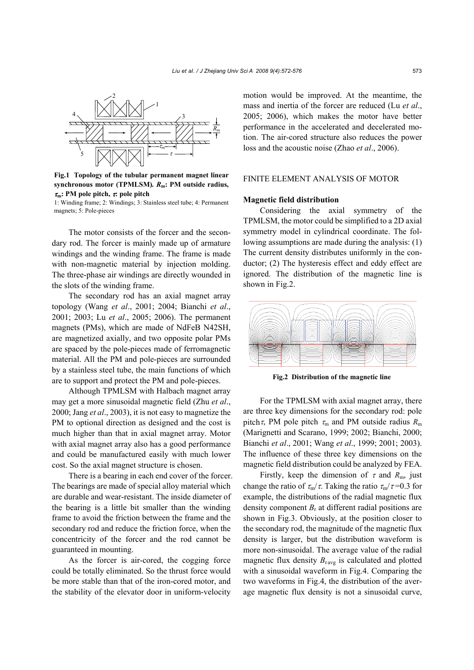

**Fig.1 Topology of the tubular permanent magnet linear synchronous motor (TPMLSM)***. R***m: PM outside radius,** <sup>τ</sup>**m: PM pole pitch,** τ**: pole pitch** 

1: Winding frame; 2: Windings; 3: Stainless steel tube; 4: Permanent magnets; 5: Pole-pieces

The motor consists of the forcer and the secondary rod. The forcer is mainly made up of armature windings and the winding frame. The frame is made with non-magnetic material by injection molding. The three-phase air windings are directly wounded in the slots of the winding frame.

The secondary rod has an axial magnet array topology (Wang *et al*., 2001; 2004; Bianchi *et al*., 2001; 2003; Lu *et al*., 2005; 2006). The permanent magnets (PMs), which are made of NdFeB N42SH, are magnetized axially, and two opposite polar PMs are spaced by the pole-pieces made of ferromagnetic material. All the PM and pole-pieces are surrounded by a stainless steel tube, the main functions of which are to support and protect the PM and pole-pieces.

Although TPMLSM with Halbach magnet array may get a more sinusoidal magnetic field (Zhu *et al*., 2000; Jang *et al*., 2003), it is not easy to magnetize the PM to optional direction as designed and the cost is much higher than that in axial magnet array. Motor with axial magnet array also has a good performance and could be manufactured easily with much lower cost. So the axial magnet structure is chosen.

There is a bearing in each end cover of the forcer. The bearings are made of special alloy material which are durable and wear-resistant. The inside diameter of the bearing is a little bit smaller than the winding frame to avoid the friction between the frame and the secondary rod and reduce the friction force, when the concentricity of the forcer and the rod cannot be guaranteed in mounting.

As the forcer is air-cored, the cogging force could be totally eliminated. So the thrust force would be more stable than that of the iron-cored motor, and the stability of the elevator door in uniform-velocity motion would be improved. At the meantime, the mass and inertia of the forcer are reduced (Lu *et al*., 2005; 2006), which makes the motor have better performance in the accelerated and decelerated motion. The air-cored structure also reduces the power loss and the acoustic noise (Zhao *et al*., 2006).

## FINITE ELEMENT ANALYSIS OF MOTOR

#### **Magnetic field distribution**

Considering the axial symmetry of the TPMLSM, the motor could be simplified to a 2D axial symmetry model in cylindrical coordinate. The following assumptions are made during the analysis: (1) The current density distributes uniformly in the conductor; (2) The hysteresis effect and eddy effect are ignored. The distribution of the magnetic line is shown in Fig.2.



**Fig.2 Distribution of the magnetic line**

For the TPMLSM with axial magnet array, there are three key dimensions for the secondary rod: pole pitch  $\tau$ , PM pole pitch  $\tau$ <sub>m</sub> and PM outside radius  $R$ <sub>m</sub> (Marignetti and Scarano, 1999; 2002; Bianchi, 2000; Bianchi *et al*., 2001; Wang *et al*., 1999; 2001; 2003). The influence of these three key dimensions on the magnetic field distribution could be analyzed by FEA.

Firstly, keep the dimension of  $\tau$  and  $R_{\rm m}$ , just change the ratio of  $\tau_{m}/\tau$ . Taking the ratio  $\tau_{m}/\tau$ =0.3 for example, the distributions of the radial magnetic flux density component  $B_r$  at different radial positions are shown in Fig.3. Obviously, at the position closer to the secondary rod, the magnitude of the magnetic flux density is larger, but the distribution waveform is more non-sinusoidal. The average value of the radial magnetic flux density  $B_{\text{ravg}}$  is calculated and plotted with a sinusoidal waveform in Fig.4. Comparing the two waveforms in Fig.4, the distribution of the average magnetic flux density is not a sinusoidal curve,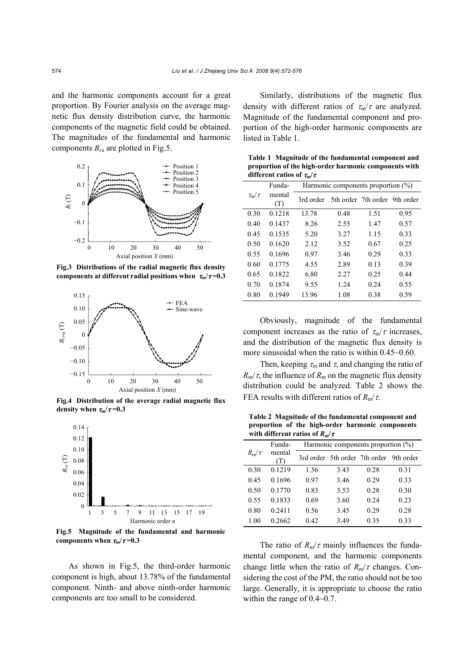and the harmonic components account for a great proportion. By Fourier analysis on the average magnetic flux density distribution curve, the harmonic components of the magnetic field could be obtained. The magnitudes of the fundamental and harmonic components  $B_{\rm rn}$  are plotted in Fig.5.



**Fig.3 Distributions of the radial magnetic flux density components at different radial positions when**  $\tau_{m}/\tau = 0.3$ 



**Fig.4 Distribution of the average radial magnetic flux density** when  $\tau_m/\tau = 0.3$ 



**Fig.5 Magnitude of the fundamental and harmonic** components when  $\tau_{\rm m}/\tau$ =0.3

As shown in Fig.5, the third-order harmonic component is high, about 13.78% of the fundamental component. Ninth- and above ninth-order harmonic components are too small to be considered.

Similarly, distributions of the magnetic flux density with different ratios of  $\tau_{\rm m}/\tau$  are analyzed. Magnitude of the fundamental component and proportion of the high-order harmonic components are listed in Table 1.

**Table 1 Magnitude of the fundamental component and proportion of the high-order harmonic components with different ratios of** τ**m/**<sup>τ</sup>

|                     | Funda-        | Harmonic components proportion $(\%)$ |                               |      |      |  |
|---------------------|---------------|---------------------------------------|-------------------------------|------|------|--|
| $\tau_{\rm m}/\tau$ | mental<br>(T) | 3rd order                             | 5th order 7th order 9th order |      |      |  |
| 0.30                | 0.1218        | 13.78                                 | 0.48                          | 1.51 | 0.95 |  |
| 0.40                | 0.1437        | 8.26                                  | 2.55                          | 1.47 | 0.57 |  |
| 0.45                | 0.1535        | 5.20                                  | 3.27                          | 1.15 | 0.33 |  |
| 0.50                | 0.1620        | 2.12                                  | 3.52                          | 0.67 | 0.25 |  |
| 0.55                | 0.1696        | 0.97                                  | 3.46                          | 0.29 | 0.33 |  |
| 0.60                | 0.1775        | 4.55                                  | 2.89                          | 0.13 | 0.39 |  |
| 0.65                | 0.1822        | 6.80                                  | 2.27                          | 0.25 | 0.44 |  |
| 0.70                | 0.1874        | 9.55                                  | 1.24                          | 0.24 | 0.55 |  |
| 0.80                | 0.1949        | 13.96                                 | 1.08                          | 0.38 | 0.59 |  |

Obviously, magnitude of the fundamental component increases as the ratio of  $\tau_{m}/\tau$  increases, and the distribution of the magnetic flux density is more sinusoidal when the ratio is within 0.45~0.60.

Then, keeping  $\tau_m$  and  $\tau$ , and changing the ratio of  $R_{\rm m}/\tau$ , the influence of  $R_{\rm m}$  on the magnetic flux density distribution could be analyzed. Table 2 shows the FEA results with different ratios of *R*m/τ.

**Table 2 Magnitude of the fundamental component and proportion of the high-order harmonic components with different ratios of** *R***m/**τ

|            | Funda-<br>Harmonic components proportion $(\%)$ |      |      |                                         |      |
|------------|-------------------------------------------------|------|------|-----------------------------------------|------|
| $R_m/\tau$ | mental<br>(T)                                   |      |      | 3rd order 5th order 7th order 9th order |      |
| 0.30       | 0.1219                                          | 1.56 | 3.43 | 0.28                                    | 0.31 |
| 0.45       | 0.1696                                          | 0.97 | 3.46 | 0.29                                    | 0.33 |
| 0.50       | 0.1770                                          | 0.83 | 3.53 | 0.28                                    | 0.30 |
| 0.55       | 0.1833                                          | 0.69 | 3.60 | 0.24                                    | 0.23 |
| 0.80       | 0.2411                                          | 0.56 | 3.45 | 0.29                                    | 0.28 |
| 1.00       | 0.2662                                          | 0.42 | 3.49 | 0.35                                    | 0.33 |

The ratio of  $R_m/\tau$  mainly influences the fundamental component, and the harmonic components change little when the ratio of  $R_m/\tau$  changes. Considering the cost of the PM, the ratio should not be too large. Generally, it is appropriate to choose the ratio within the range of 0.4~0.7.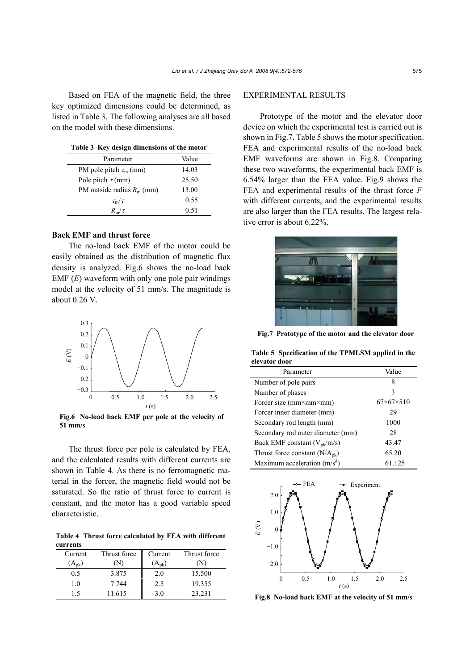Based on FEA of the magnetic field, the three key optimized dimensions could be determined, as listed in Table 3. The following analyses are all based on the model with these dimensions.

| Table 3 Key design dimensions of the motor |  |  |  |  |  |  |  |
|--------------------------------------------|--|--|--|--|--|--|--|
|--------------------------------------------|--|--|--|--|--|--|--|

| Parameter                     | Value |
|-------------------------------|-------|
| PM pole pitch $\tau_{m}$ (mm) | 14.03 |
| Pole pitch $\tau$ (mm)        | 25.50 |
| PM outside radius $R_m$ (mm)  | 13.00 |
| $\tau_{\rm m}/\tau$           | 0.55  |
| $R_{\rm m}/\tau$              | 0.51  |

## **Back EMF and thrust force**

The no-load back EMF of the motor could be easily obtained as the distribution of magnetic flux density is analyzed. Fig.6 shows the no-load back EMF (*E*) waveform with only one pole pair windings model at the velocity of 51 mm/s. The magnitude is about 0.26 V.



**Fig.6 No-load back EMF per pole at the velocity of 51 mm/s** 

The thrust force per pole is calculated by FEA, and the calculated results with different currents are shown in Table 4. As there is no ferromagnetic material in the forcer, the magnetic field would not be saturated. So the ratio of thrust force to current is constant, and the motor has a good variable speed characteristic.

**Table 4 Thrust force calculated by FEA with different currents**

| Current    | Thrust force | Current    | Thrust force |
|------------|--------------|------------|--------------|
| $(A_{nk})$ |              | $(A_{nk})$ |              |
| 0.5        | 3.875        | 2.0        | 15.500       |
| 1.0        | 7.744        | 2.5        | 19.355       |
| 15         | 11.615       | 3.0        | 23.231       |

# EXPERIMENTAL RESULTS

Prototype of the motor and the elevator door device on which the experimental test is carried out is shown in Fig.7. Table 5 shows the motor specification. FEA and experimental results of the no-load back EMF waveforms are shown in Fig.8. Comparing these two waveforms, the experimental back EMF is 6.54% larger than the FEA value. Fig.9 shows the FEA and experimental results of the thrust force *F* with different currents, and the experimental results are also larger than the FEA results. The largest relative error is about 6.22%.



**Fig.7 Prototype of the motor and the elevator door**

**Table 5 Specification of the TPMLSM applied in the elevator door**

| Parameter                          | Value                     |
|------------------------------------|---------------------------|
| Number of pole pairs               | 8                         |
| Number of phases                   | 3                         |
| Forcer size (mm×mm×mm)             | $67 \times 67 \times 510$ |
| Forcer inner diameter (mm)         | 29                        |
| Secondary rod length (mm)          | 1000                      |
| Secondary rod outer diameter (mm)  | 28                        |
| Back EMF constant $(V_{pk}/m/s)$   | 43.47                     |
| Thrust force constant $(N/A_{pk})$ | 65.20                     |
| Maximum acceleration $(m/s^2)$     | 61.125                    |



**Fig.8 No-load back EMF at the velocity of 51 mm/s**